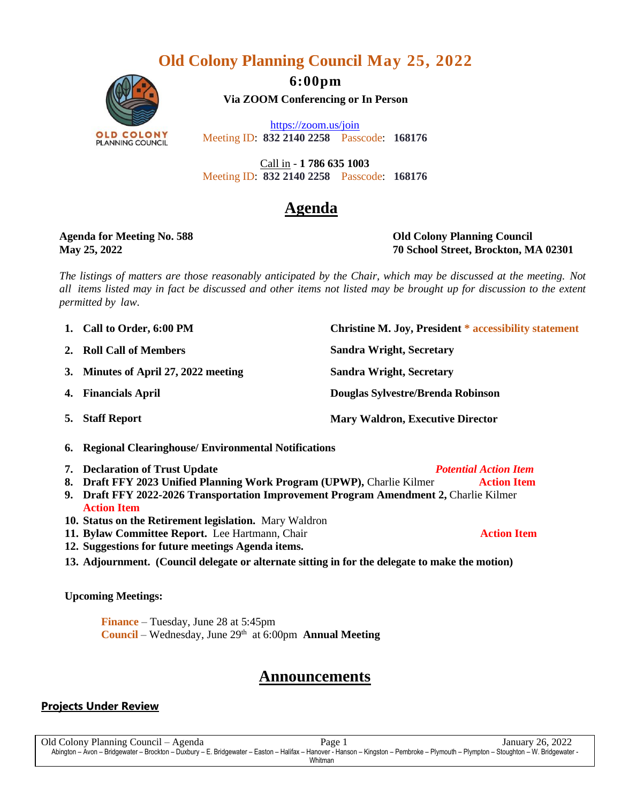# **Old Colony Planning Council May 25, 2022**



**6:00pm Via ZOOM Conferencing or In Person**

<https://zoom.us/join>

Meeting ID: **832 2140 2258** Passcode: **168176**

Call in - **1 786 635 1003** Meeting ID: **832 2140 2258** Passcode: **168176**

# **Agenda**

**Agenda for Meeting No. 588 Old Colony Planning Council May 25, 2022 70 School Street, Brockton, MA 02301**

The listings of matters are those reasonably anticipated by the Chair, which may be discussed at the meeting. Not all items listed may in fact be discussed and other items not listed may be brought up for discussion to the extent *permitted by law*.

| 1. Call to Order, 6:00 PM            | <b>Christine M. Joy, President * accessibility statement</b> |
|--------------------------------------|--------------------------------------------------------------|
| 2. Roll Call of Members              | <b>Sandra Wright, Secretary</b>                              |
| 3. Minutes of April 27, 2022 meeting | <b>Sandra Wright, Secretary</b>                              |
| 4. Financials April                  | Douglas Sylvestre/Brenda Robinson                            |
| 5. Staff Report                      | <b>Mary Waldron, Executive Director</b>                      |

- **6. Regional Clearinghouse/ Environmental Notifications**
- **7. Declaration of Trust Update** *Potential Action Item*
- **8. Draft FFY 2023 Unified Planning Work Program (UPWP),** Charlie Kilmer **Action Item**
- **9. Draft FFY 2022-2026 Transportation Improvement Program Amendment 2,** Charlie Kilmer **Action Item**
- **10. Status on the Retirement legislation.** Mary Waldron
- **11. Bylaw Committee Report.** Lee Hartmann, Chair **Action Item**
- **12. Suggestions for future meetings Agenda items.**
- **13. Adjournment. (Council delegate or alternate sitting in for the delegate to make the motion)**

### **Upcoming Meetings:**

**Finance** – Tuesday, June 28 at 5:45pm Council – Wednesday, June 29<sup>th</sup> at 6:00pm **Annual Meeting** 

# **Announcements**

## **Projects Under Review**

Old Colony Planning Council – Agenda Page 1 January 26, 2022 Abington – Avon – Bridgewater – Brockton – Duxbury – E. Bridgewater – Easton – Halifax – Hanover - Hanson – Kingston – Pembroke – Plymouth – Plympton – Stoughton – W. Bridgewater -